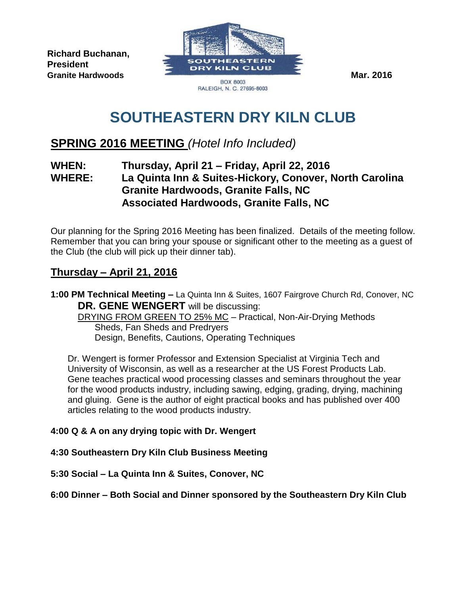**Richard Buchanan, President** 



# **SOUTHEASTERN DRY KILN CLUB**

## **SPRING 2016 MEETING** *(Hotel Info Included)*

### **WHEN: Thursday, April 21 – Friday, April 22, 2016 WHERE: La Quinta Inn & Suites-Hickory, Conover, North Carolina Granite Hardwoods, Granite Falls, NC Associated Hardwoods, Granite Falls, NC**

Our planning for the Spring 2016 Meeting has been finalized. Details of the meeting follow. Remember that you can bring your spouse or significant other to the meeting as a guest of the Club (the club will pick up their dinner tab).

## **Thursday – April 21, 2016**

**1:00 PM Technical Meeting –** La Quinta Inn & Suites, 1607 Fairgrove Church Rd, Conover, NC **DR. GENE WENGERT** will be discussing:

DRYING FROM GREEN TO 25% MC - Practical, Non-Air-Drying Methods Sheds, Fan Sheds and Predryers Design, Benefits, Cautions, Operating Techniques

Dr. Wengert is former Professor and Extension Specialist at Virginia Tech and University of Wisconsin, as well as a researcher at the US Forest Products Lab. Gene teaches practical wood processing classes and seminars throughout the year for the wood products industry, including sawing, edging, grading, drying, machining and gluing. Gene is the author of eight practical books and has published over 400 articles relating to the wood products industry.

#### **4:00 Q & A on any drying topic with Dr. Wengert**

**4:30 Southeastern Dry Kiln Club Business Meeting**

**5:30 Social – La Quinta Inn & Suites, Conover, NC**

**6:00 Dinner – Both Social and Dinner sponsored by the Southeastern Dry Kiln Club**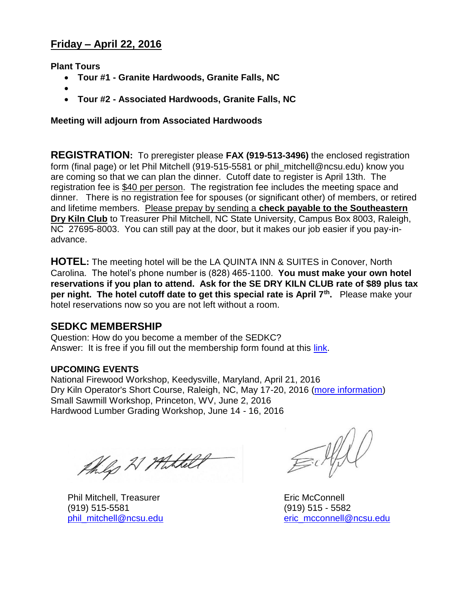## **Friday – April 22, 2016**

**Plant Tours**

- **Tour #1 - Granite Hardwoods, Granite Falls, NC**
- $\bullet$
- **Tour #2 - Associated Hardwoods, Granite Falls, NC**

#### **Meeting will adjourn from Associated Hardwoods**

**REGISTRATION:** To preregister please **FAX (919-513-3496)** the enclosed registration form (final page) or let Phil Mitchell (919-515-5581 or phil\_mitchell@ncsu.edu) know you are coming so that we can plan the dinner. Cutoff date to register is April 13th. The registration fee is \$40 per person. The registration fee includes the meeting space and dinner. There is no registration fee for spouses (or significant other) of members, or retired and lifetime members. Please prepay by sending a **check payable to the Southeastern Dry Kiln Club** to Treasurer Phil Mitchell, NC State University, Campus Box 8003, Raleigh, NC 27695-8003. You can still pay at the door, but it makes our job easier if you pay-inadvance.

**HOTEL:** The meeting hotel will be the LA QUINTA INN & SUITES in Conover, North Carolina. The hotel's phone number is (828) 465-1100. **You must make your own hotel reservations if you plan to attend. Ask for the SE DRY KILN CLUB rate of \$89 plus tax per night. The hotel cutoff date to get this special rate is April 7th .** Please make your hotel reservations now so you are not left without a room.

#### **SEDKC MEMBERSHIP**

Question: How do you become a member of the SEDKC? Answer: It is free if you fill out the membership form found at this [link.](http://goo.gl/forms/Gx1HmqXrDz)

#### **UPCOMING EVENTS**

National Firewood Workshop, Keedysville, Maryland, April 21, 2016 Dry Kiln Operator's Short Course, Raleigh, NC, May 17-20, 2016 [\(more information\)](http://www.ncsu-feop.org/biomaterials/) Small Sawmill Workshop, Princeton, WV, June 2, 2016 Hardwood Lumber Grading Workshop, June 14 - 16, 2016

thig 21 Hittelt

Phil Mitchell, Treasurer **Example 2018** Eric McConnell (919) 515-5581 (919) 515 - 5582

 $\equiv \psi(t)$ 

[phil\\_mitchell@ncsu.edu](mailto:phil_mitchell@ncsu.edu) [eric\\_mcconnell@ncsu.edu](mailto:eric_mcconnell@ncsu.edu)